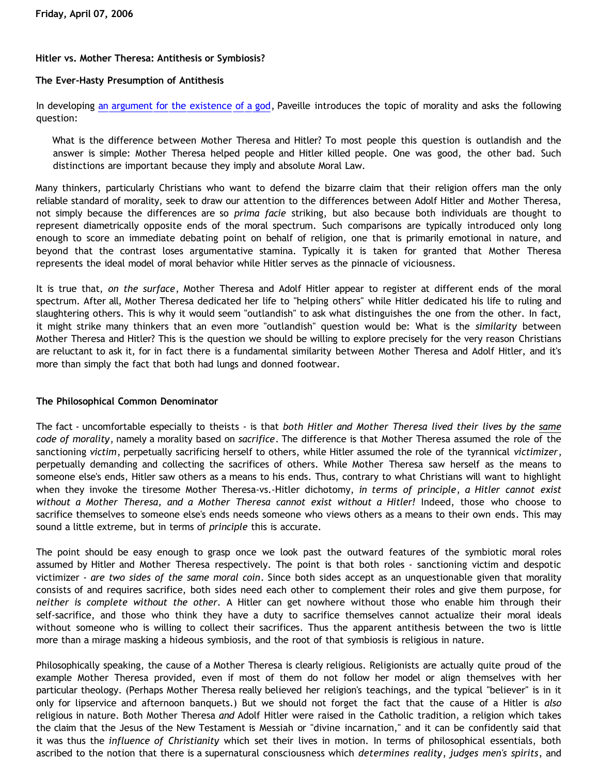# **Hitler vs. Mother Theresa: Antithesis or Symbiosis?**

## **The Ever-Hasty Presumption of Antithesis**

In developing [an argument for the existence of a god](http://thegoddebate.blogspot.com/2006/03/i-simply-dont-have-enough-faith-to-be.html), Paveille introduces the topic of morality and asks the following question:

What is the difference between Mother Theresa and Hitler? To most people this question is outlandish and the answer is simple: Mother Theresa helped people and Hitler killed people. One was good, the other bad. Such distinctions are important because they imply and absolute Moral Law.

Many thinkers, particularly Christians who want to defend the bizarre claim that their religion offers man the only reliable standard of morality, seek to draw our attention to the differences between Adolf Hitler and Mother Theresa, not simply because the differences are so *prima facie* striking, but also because both individuals are thought to represent diametrically opposite ends of the moral spectrum. Such comparisons are typically introduced only long enough to score an immediate debating point on behalf of religion, one that is primarily emotional in nature, and beyond that the contrast loses argumentative stamina. Typically it is taken for granted that Mother Theresa represents the ideal model of moral behavior while Hitler serves as the pinnacle of viciousness.

It is true that, *on the surface*, Mother Theresa and Adolf Hitler appear to register at different ends of the moral spectrum. After all, Mother Theresa dedicated her life to "helping others" while Hitler dedicated his life to ruling and slaughtering others. This is why it would seem "outlandish" to ask what distinguishes the one from the other. In fact, it might strike many thinkers that an even more "outlandish" question would be: What is the *similarity* between Mother Theresa and Hitler? This is the question we should be willing to explore precisely for the very reason Christians are reluctant to ask it, for in fact there is a fundamental similarity between Mother Theresa and Adolf Hitler, and it's more than simply the fact that both had lungs and donned footwear.

### **The Philosophical Common Denominator**

The fact - uncomfortable especially to theists - is that *both Hitler and Mother Theresa lived their lives by the same code of morality*, namely a morality based on *sacrifice*. The difference is that Mother Theresa assumed the role of the sanctioning *victim*, perpetually sacrificing herself to others, while Hitler assumed the role of the tyrannical *victimizer*, perpetually demanding and collecting the sacrifices of others. While Mother Theresa saw herself as the means to someone else's ends, Hitler saw others as a means to his ends. Thus, contrary to what Christians will want to highlight when they invoke the tiresome Mother Theresa-vs.-Hitler dichotomy, *in terms of principle*, *a Hitler cannot exist without a Mother Theresa, and a Mother Theresa cannot exist without a Hitler!* Indeed, those who choose to sacrifice themselves to someone else's ends needs someone who views others as a means to their own ends*.* This may sound a little extreme, but in terms of *principle* this is accurate.

The point should be easy enough to grasp once we look past the outward features of the symbiotic moral roles assumed by Hitler and Mother Theresa respectively. The point is that both roles - sanctioning victim and despotic victimizer - *are two sides of the same moral coin*. Since both sides accept as an unquestionable given that morality consists of and requires sacrifice, both sides need each other to complement their roles and give them purpose, for *neither is complete without the other.* A Hitler can get nowhere without those who enable him through their self-sacrifice, and those who think they have a duty to sacrifice themselves cannot actualize their moral ideals without someone who is willing to collect their sacrifices. Thus the apparent antithesis between the two is little more than a mirage masking a hideous symbiosis, and the root of that symbiosis is religious in nature.

Philosophically speaking, the cause of a Mother Theresa is clearly religious. Religionists are actually quite proud of the example Mother Theresa provided, even if most of them do not follow her model or align themselves with her particular theology. (Perhaps Mother Theresa really believed her religion's teachings, and the typical "believer" is in it only for lipservice and afternoon banquets.) But we should not forget the fact that the cause of a Hitler is *also* religious in nature. Both Mother Theresa *and* Adolf Hitler were raised in the Catholic tradition, a religion which takes the claim that the Jesus of the New Testament is Messiah or "divine incarnation," and it can be confidently said that it was thus the *influence of Christianity* which set their lives in motion. In terms of philosophical essentials, both ascribed to the notion that there is a supernatural consciousness which *determines reality*, *judges men's spirits*, and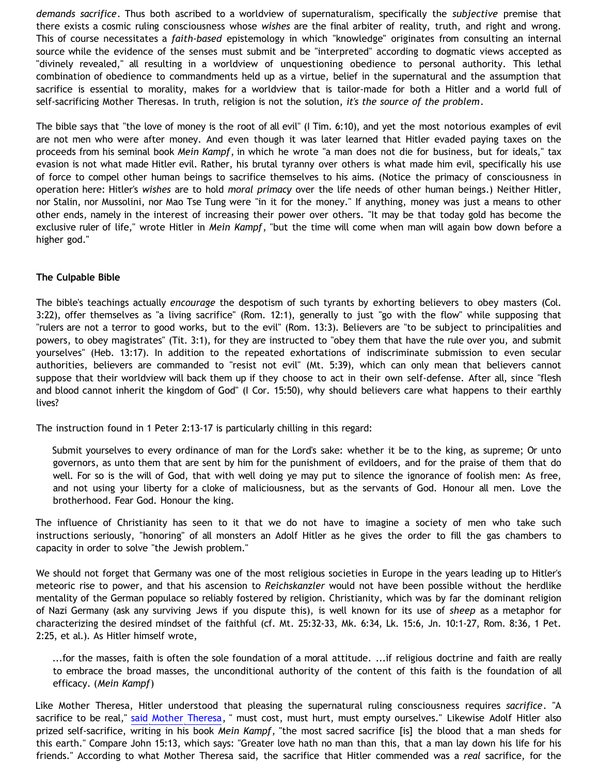*demands sacrifice*. Thus both ascribed to a worldview of supernaturalism, specifically the *subjective* premise that there exists a cosmic ruling consciousness whose *wishes* are the final arbiter of reality, truth, and right and wrong. This of course necessitates a *faith-based* epistemology in which "knowledge" originates from consulting an internal source while the evidence of the senses must submit and be "interpreted" according to dogmatic views accepted as "divinely revealed," all resulting in a worldview of unquestioning obedience to personal authority. This lethal combination of obedience to commandments held up as a virtue, belief in the supernatural and the assumption that sacrifice is essential to morality, makes for a worldview that is tailor-made for both a Hitler and a world full of self-sacrificing Mother Theresas. In truth, religion is not the solution, *it's the source of the problem*.

The bible says that "the love of money is the root of all evil" (I Tim. 6:10), and yet the most notorious examples of evil are not men who were after money. And even though it was later learned that Hitler evaded paying taxes on the proceeds from his seminal book *Mein Kampf*, in which he wrote "a man does not die for business, but for ideals," tax evasion is not what made Hitler evil. Rather, his brutal tyranny over others is what made him evil, specifically his use of force to compel other human beings to sacrifice themselves to his aims. (Notice the primacy of consciousness in operation here: Hitler's *wishes* are to hold *moral primacy* over the life needs of other human beings.) Neither Hitler, nor Stalin, nor Mussolini, nor Mao Tse Tung were "in it for the money." If anything, money was just a means to other other ends, namely in the interest of increasing their power over others. "It may be that today gold has become the exclusive ruler of life," wrote Hitler in *Mein Kampf*, "but the time will come when man will again bow down before a higher god."

## **The Culpable Bible**

The bible's teachings actually *encourage* the despotism of such tyrants by exhorting believers to obey masters (Col. 3:22), offer themselves as "a living sacrifice" (Rom. 12:1), generally to just "go with the flow" while supposing that "rulers are not a terror to good works, but to the evil" (Rom. 13:3). Believers are "to be subject to principalities and powers, to obey magistrates" (Tit. 3:1), for they are instructed to "obey them that have the rule over you, and submit yourselves" (Heb. 13:17). In addition to the repeated exhortations of indiscriminate submission to even secular authorities, believers are commanded to "resist not evil" (Mt. 5:39), which can only mean that believers cannot suppose that their worldview will back them up if they choose to act in their own self-defense. After all, since "flesh and blood cannot inherit the kingdom of God" (I Cor. 15:50), why should believers care what happens to their earthly lives?

The instruction found in 1 Peter 2:13-17 is particularly chilling in this regard:

Submit yourselves to every ordinance of man for the Lord's sake: whether it be to the king, as supreme; Or unto governors, as unto them that are sent by him for the punishment of evildoers, and for the praise of them that do well. For so is the will of God, that with well doing ye may put to silence the ignorance of foolish men: As free, and not using your liberty for a cloke of maliciousness, but as the servants of God. Honour all men. Love the brotherhood. Fear God. Honour the king.

The influence of Christianity has seen to it that we do not have to imagine a society of men who take such instructions seriously, "honoring" of all monsters an Adolf Hitler as he gives the order to fill the gas chambers to capacity in order to solve "the Jewish problem."

We should not forget that Germany was one of the most religious societies in Europe in the years leading up to Hitler's meteoric rise to power, and that his ascension to *Reichskanzler* would not have been possible without the herdlike mentality of the German populace so reliably fostered by religion. Christianity, which was by far the dominant religion of Nazi Germany (ask any surviving Jews if you dispute this), is well known for its use of *sheep* as a metaphor for characterizing the desired mindset of the faithful (cf. Mt. 25:32-33, Mk. 6:34, Lk. 15:6, Jn. 10:1-27, Rom. 8:36, 1 Pet. 2:25, et al.). As Hitler himself wrote,

...for the masses, faith is often the sole foundation of a moral attitude. ...if religious doctrine and faith are really to embrace the broad masses, the unconditional authority of the content of this faith is the foundation of all efficacy. (*Mein Kampf*)

Like Mother Theresa, Hitler understood that pleasing the supernatural ruling consciousness requires *sacrifice*. "A sacrifice to be real," [said Mother Theresa](http://www.chron.com/cgi-bin/auth/story/content/chronicle/world/97/09/07/teresa-quotes.4-0.html), " must cost, must hurt, must empty ourselves." Likewise Adolf Hitler also prized self-sacrifice, writing in his book *Mein Kampf*, "the most sacred sacrifice [is] the blood that a man sheds for this earth." Compare John 15:13, which says: "Greater love hath no man than this, that a man lay down his life for his friends." According to what Mother Theresa said, the sacrifice that Hitler commended was a *real* sacrifice, for the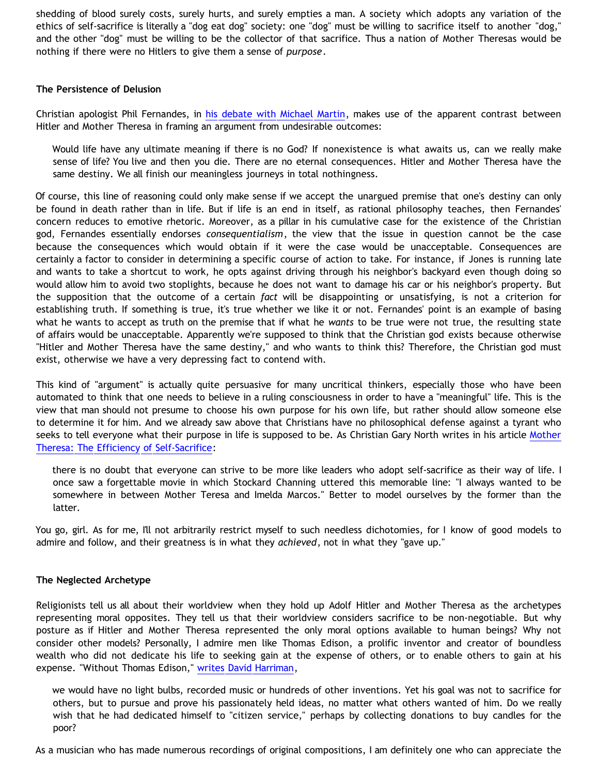shedding of blood surely costs, surely hurts, and surely empties a man. A society which adopts any variation of the ethics of self-sacrifice is literally a "dog eat dog" society: one "dog" must be willing to sacrifice itself to another "dog," and the other "dog" must be willing to be the collector of that sacrifice. Thus a nation of Mother Theresas would be nothing if there were no Hitlers to give them a sense of *purpose*.

### **The Persistence of Delusion**

Christian apologist Phil Fernandes, in [his debate with Michael Martin,](http://www.biblicaldefense.org/Research_Center/theismvatheism.htm) makes use of the apparent contrast between Hitler and Mother Theresa in framing an argument from undesirable outcomes:

Would life have any ultimate meaning if there is no God? If nonexistence is what awaits us, can we really make sense of life? You live and then you die. There are no eternal consequences. Hitler and Mother Theresa have the same destiny. We all finish our meaningless journeys in total nothingness.

Of course, this line of reasoning could only make sense if we accept the unargued premise that one's destiny can only be found in death rather than in life. But if life is an end in itself, as rational philosophy teaches, then Fernandes' concern reduces to emotive rhetoric. Moreover, as a pillar in his cumulative case for the existence of the Christian god, Fernandes essentially endorses *consequentialism*, the view that the issue in question cannot be the case because the consequences which would obtain if it were the case would be unacceptable. Consequences are certainly a factor to consider in determining a specific course of action to take. For instance, if Jones is running late and wants to take a shortcut to work, he opts against driving through his neighbor's backyard even though doing so would allow him to avoid two stoplights, because he does not want to damage his car or his neighbor's property. But the supposition that the outcome of a certain *fact* will be disappointing or unsatisfying, is not a criterion for establishing truth. If something is true, it's true whether we like it or not. Fernandes' point is an example of basing what he wants to accept as truth on the premise that if what he *wants* to be true were not true, the resulting state of affairs would be unacceptable. Apparently we're supposed to think that the Christian god exists because otherwise "Hitler and Mother Theresa have the same destiny," and who wants to think this? Therefore, the Christian god must exist, otherwise we have a very depressing fact to contend with.

This kind of "argument" is actually quite persuasive for many uncritical thinkers, especially those who have been automated to think that one needs to believe in a ruling consciousness in order to have a "meaningful" life. This is the view that man should not presume to choose his own purpose for his own life, but rather should allow someone else to determine it for him. And we already saw above that Christians have no philosophical defense against a tyrant who seeks to tell everyone what their purpose in life is supposed to be. As Christian Gary North writes in his article [Mother](http://www.lewrockwell.com/north/north217.html) [Theresa: The Efficiency of Self-Sacrifice](http://www.lewrockwell.com/north/north217.html):

there is no doubt that everyone can strive to be more like leaders who adopt self-sacrifice as their way of life. I once saw a forgettable movie in which Stockard Channing uttered this memorable line: "I always wanted to be somewhere in between Mother Teresa and Imelda Marcos." Better to model ourselves by the former than the latter.

You go, girl. As for me, I'll not arbitrarily restrict myself to such needless dichotomies, for I know of good models to admire and follow, and their greatness is in what they *achieved*, not in what they "gave up."

### **The Neglected Archetype**

Religionists tell us all about their worldview when they hold up Adolf Hitler and Mother Theresa as the archetypes representing moral opposites. They tell us that their worldview considers sacrifice to be non-negotiable. But why posture as if Hitler and Mother Theresa represented the only moral options available to human beings? Why not consider other models? Personally, I admire men like Thomas Edison, a prolific inventor and creator of boundless wealth who did not dedicate his life to seeking gain at the expense of others, or to enable others to gain at his expense. "Without Thomas Edison," [writes David Harriman,](http://www.capmag.com/articlePrint.asp?ID=3256)

we would have no light bulbs, recorded music or hundreds of other inventions. Yet his goal was not to sacrifice for others, but to pursue and prove his passionately held ideas, no matter what others wanted of him. Do we really wish that he had dedicated himself to "citizen service," perhaps by collecting donations to buy candles for the poor?

As a musician who has made numerous recordings of original compositions, I am definitely one who can appreciate the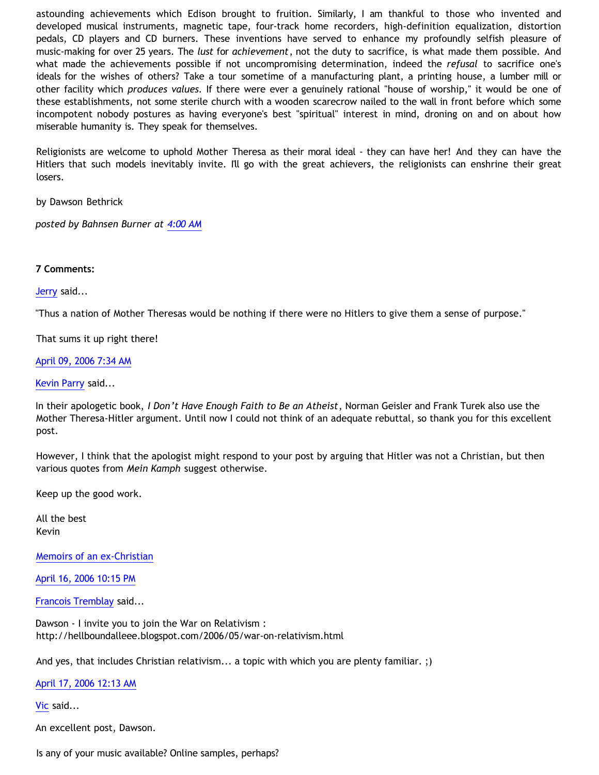astounding achievements which Edison brought to fruition. Similarly, I am thankful to those who invented and developed musical instruments, magnetic tape, four-track home recorders, high-definition equalization, distortion pedals, CD players and CD burners. These inventions have served to enhance my profoundly selfish pleasure of music-making for over 25 years. The *lust* for *achievement*, not the duty to sacrifice, is what made them possible. And what made the achievements possible if not uncompromising determination, indeed the *refusal* to sacrifice one's ideals for the wishes of others? Take a tour sometime of a manufacturing plant, a printing house, a lumber mill or other facility which *produces values.* If there were ever a genuinely rational "house of worship," it would be one of these establishments, not some sterile church with a wooden scarecrow nailed to the wall in front before which some incompotent nobody postures as having everyone's best "spiritual" interest in mind, droning on and on about how miserable humanity is. They speak for themselves.

Religionists are welcome to uphold Mother Theresa as their moral ideal - they can have her! And they can have the Hitlers that such models inevitably invite. I'll go with the great achievers, the religionists can enshrine their great losers.

by Dawson Bethrick

*posted by Bahnsen Burner at [4:00 AM](http://bahnsenburner.blogspot.com/2006/04/hitler-vs-mother-theresa-antithesis-or.html)*

## **7 Comments:**

[Jerry](http://www.blogger.com/profile/12959741) said...

"Thus a nation of Mother Theresas would be nothing if there were no Hitlers to give them a sense of purpose."

That sums it up right there!

### [April 09, 2006 7:34 AM](http://bahnsenburner.blogspot.com/2006/04/114459324656471031)

#### [Kevin Parry](http://www.blogger.com/profile/14058373) said...

In their apologetic book, *I Don't Have Enough Faith to Be an Atheist*, Norman Geisler and Frank Turek also use the Mother Theresa-Hitler argument. Until now I could not think of an adequate rebuttal, so thank you for this excellent post.

However, I think that the apologist might respond to your post by arguing that Hitler was not a Christian, but then various quotes from *Mein Kamph* suggest otherwise.

Keep up the good work.

All the best Kevin

[Memoirs of an ex-Christian](http://www.mexc.blogspot.com/)

[April 16, 2006 10:15 PM](http://bahnsenburner.blogspot.com/2006/04/114525090271098108)

[Francois Tremblay](http://www.blogger.com/profile/7715861) said...

Dawson - I invite you to join the War on Relativism : <http://hellboundalleee.blogspot.com/2006/05/war-on-relativism.html>

And yes, that includes Christian relativism... a topic with which you are plenty familiar. ;)

[April 17, 2006 12:13 AM](http://bahnsenburner.blogspot.com/2006/04/114525803900171239)

[Vic](http://www.blogger.com/profile/17997750) said...

An excellent post, Dawson.

Is any of your music available? Online samples, perhaps?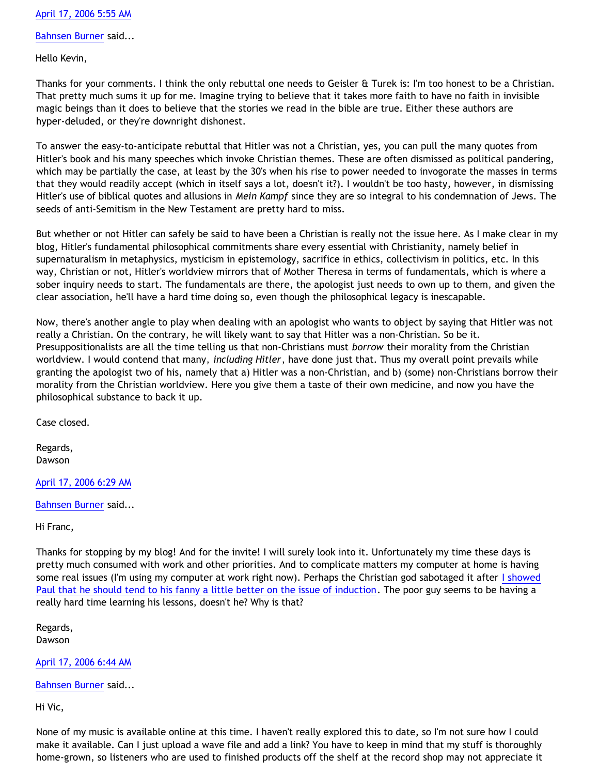# [April 17, 2006 5:55 AM](http://bahnsenburner.blogspot.com/2006/04/114527850069723556)

[Bahnsen Burner](http://www.blogger.com/profile/7766918) said...

Hello Kevin,

Thanks for your comments. I think the only rebuttal one needs to Geisler & Turek is: I'm too honest to be a Christian. That pretty much sums it up for me. Imagine trying to believe that it takes more faith to have no faith in invisible magic beings than it does to believe that the stories we read in the bible are true. Either these authors are hyper-deluded, or they're downright dishonest.

To answer the easy-to-anticipate rebuttal that Hitler was not a Christian, yes, you can pull the many quotes from Hitler's book and his many speeches which invoke Christian themes. These are often dismissed as political pandering, which may be partially the case, at least by the 30's when his rise to power needed to invogorate the masses in terms that they would readily accept (which in itself says a lot, doesn't it?). I wouldn't be too hasty, however, in dismissing Hitler's use of biblical quotes and allusions in *Mein Kampf* since they are so integral to his condemnation of Jews. The seeds of anti-Semitism in the New Testament are pretty hard to miss.

But whether or not Hitler can safely be said to have been a Christian is really not the issue here. As I make clear in my blog, Hitler's fundamental philosophical commitments share every essential with Christianity, namely belief in supernaturalism in metaphysics, mysticism in epistemology, sacrifice in ethics, collectivism in politics, etc. In this way, Christian or not, Hitler's worldview mirrors that of Mother Theresa in terms of fundamentals, which is where a sober inquiry needs to start. The fundamentals are there, the apologist just needs to own up to them, and given the clear association, he'll have a hard time doing so, even though the philosophical legacy is inescapable.

Now, there's another angle to play when dealing with an apologist who wants to object by saying that Hitler was not really a Christian. On the contrary, he will likely want to say that Hitler was a non-Christian. So be it. Presuppositionalists are all the time telling us that non-Christians must *borrow* their morality from the Christian worldview. I would contend that many, *including Hitler*, have done just that. Thus my overall point prevails while granting the apologist two of his, namely that a) Hitler was a non-Christian, and b) (some) non-Christians borrow their morality from the Christian worldview. Here you give them a taste of their own medicine, and now you have the philosophical substance to back it up.

Case closed.

Regards, Dawson

[April 17, 2006 6:29 AM](http://bahnsenburner.blogspot.com/2006/04/114528059740942627)

[Bahnsen Burner](http://www.blogger.com/profile/7766918) said...

Hi Franc,

Thanks for stopping by my blog! And for the invite! I will surely look into it. Unfortunately my time these days is pretty much consumed with work and other priorities. And to complicate matters my computer at home is having some real issues (I'm using my computer at work right now). Perhaps the Christian god sabotaged it after [I showed](http://debunkingchristianity.blogspot.com/2006/04/justifying-tag-part-2-response-to-paul.html) [Paul that he should tend to his fanny a little better on the issue of induction.](http://debunkingchristianity.blogspot.com/2006/04/justifying-tag-part-2-response-to-paul.html) The poor guy seems to be having a really hard time learning his lessons, doesn't he? Why is that?

Regards, Dawson

[April 17, 2006 6:44 AM](http://bahnsenburner.blogspot.com/2006/04/114528149206208558)

[Bahnsen Burner](http://www.blogger.com/profile/7766918) said...

Hi Vic,

None of my music is available online at this time. I haven't really explored this to date, so I'm not sure how I could make it available. Can I just upload a wave file and add a link? You have to keep in mind that my stuff is thoroughly home-grown, so listeners who are used to finished products off the shelf at the record shop may not appreciate it